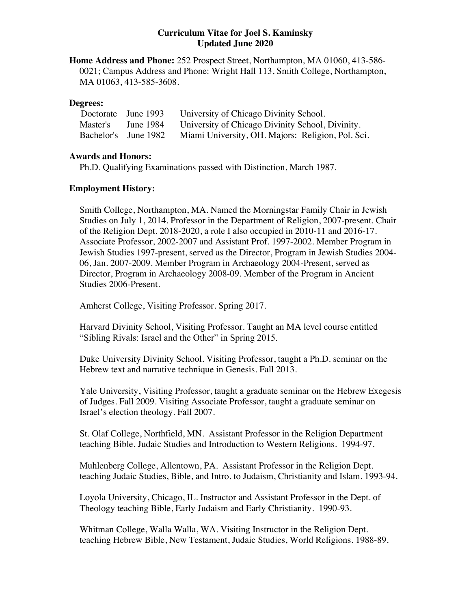## **Curriculum Vitae for Joel S. Kaminsky Updated June 2020**

**Home Address and Phone:** 252 Prospect Street, Northampton, MA 01060, 413-586- 0021; Campus Address and Phone: Wright Hall 113, Smith College, Northampton, MA 01063, 413-585-3608.

### **Degrees:**

|  | Doctorate June 1993  | University of Chicago Divinity School.            |
|--|----------------------|---------------------------------------------------|
|  | Master's June 1984   | University of Chicago Divinity School, Divinity.  |
|  | Bachelor's June 1982 | Miami University, OH. Majors: Religion, Pol. Sci. |

## **Awards and Honors:**

Ph.D. Qualifying Examinations passed with Distinction, March 1987.

## **Employment History:**

Smith College, Northampton, MA. Named the Morningstar Family Chair in Jewish Studies on July 1, 2014. Professor in the Department of Religion, 2007-present. Chair of the Religion Dept. 2018-2020, a role I also occupied in 2010-11 and 2016-17. Associate Professor, 2002-2007 and Assistant Prof. 1997-2002. Member Program in Jewish Studies 1997-present, served as the Director, Program in Jewish Studies 2004- 06, Jan. 2007-2009. Member Program in Archaeology 2004-Present, served as Director, Program in Archaeology 2008-09. Member of the Program in Ancient Studies 2006-Present.

Amherst College, Visiting Professor. Spring 2017.

Harvard Divinity School, Visiting Professor. Taught an MA level course entitled "Sibling Rivals: Israel and the Other" in Spring 2015.

Duke University Divinity School. Visiting Professor, taught a Ph.D. seminar on the Hebrew text and narrative technique in Genesis. Fall 2013.

Yale University, Visiting Professor, taught a graduate seminar on the Hebrew Exegesis of Judges. Fall 2009. Visiting Associate Professor, taught a graduate seminar on Israel's election theology. Fall 2007.

St. Olaf College, Northfield, MN. Assistant Professor in the Religion Department teaching Bible, Judaic Studies and Introduction to Western Religions. 1994-97.

Muhlenberg College, Allentown, PA. Assistant Professor in the Religion Dept. teaching Judaic Studies, Bible, and Intro. to Judaism, Christianity and Islam. 1993-94.

Loyola University, Chicago, IL. Instructor and Assistant Professor in the Dept. of Theology teaching Bible, Early Judaism and Early Christianity. 1990-93.

Whitman College, Walla Walla, WA. Visiting Instructor in the Religion Dept. teaching Hebrew Bible, New Testament, Judaic Studies, World Religions. 1988-89.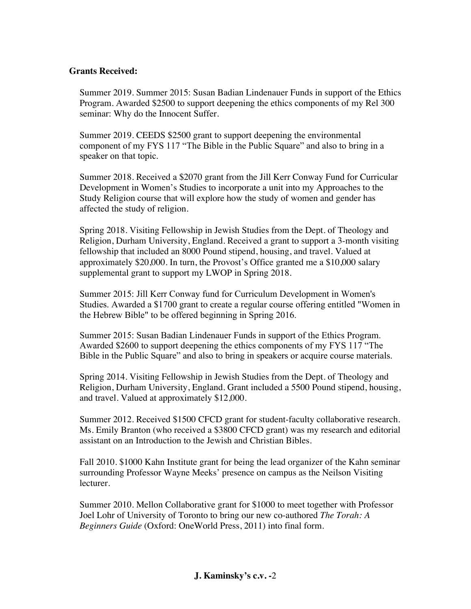## **Grants Received:**

Summer 2019. Summer 2015: Susan Badian Lindenauer Funds in support of the Ethics Program. Awarded \$2500 to support deepening the ethics components of my Rel 300 seminar: Why do the Innocent Suffer.

Summer 2019. CEEDS \$2500 grant to support deepening the environmental component of my FYS 117 "The Bible in the Public Square" and also to bring in a speaker on that topic.

Summer 2018. Received a \$2070 grant from the Jill Kerr Conway Fund for Curricular Development in Women's Studies to incorporate a unit into my Approaches to the Study Religion course that will explore how the study of women and gender has affected the study of religion.

Spring 2018. Visiting Fellowship in Jewish Studies from the Dept. of Theology and Religion, Durham University, England. Received a grant to support a 3-month visiting fellowship that included an 8000 Pound stipend, housing, and travel. Valued at approximately \$20,000. In turn, the Provost's Office granted me a \$10,000 salary supplemental grant to support my LWOP in Spring 2018.

Summer 2015: Jill Kerr Conway fund for Curriculum Development in Women's Studies. Awarded a \$1700 grant to create a regular course offering entitled "Women in the Hebrew Bible" to be offered beginning in Spring 2016.

Summer 2015: Susan Badian Lindenauer Funds in support of the Ethics Program. Awarded \$2600 to support deepening the ethics components of my FYS 117 "The Bible in the Public Square" and also to bring in speakers or acquire course materials.

Spring 2014. Visiting Fellowship in Jewish Studies from the Dept. of Theology and Religion, Durham University, England. Grant included a 5500 Pound stipend, housing, and travel. Valued at approximately \$12,000.

Summer 2012. Received \$1500 CFCD grant for student-faculty collaborative research. Ms. Emily Branton (who received a \$3800 CFCD grant) was my research and editorial assistant on an Introduction to the Jewish and Christian Bibles.

Fall 2010. \$1000 Kahn Institute grant for being the lead organizer of the Kahn seminar surrounding Professor Wayne Meeks' presence on campus as the Neilson Visiting lecturer.

Summer 2010. Mellon Collaborative grant for \$1000 to meet together with Professor Joel Lohr of University of Toronto to bring our new co-authored *The Torah: A Beginners Guide* (Oxford: OneWorld Press, 2011) into final form.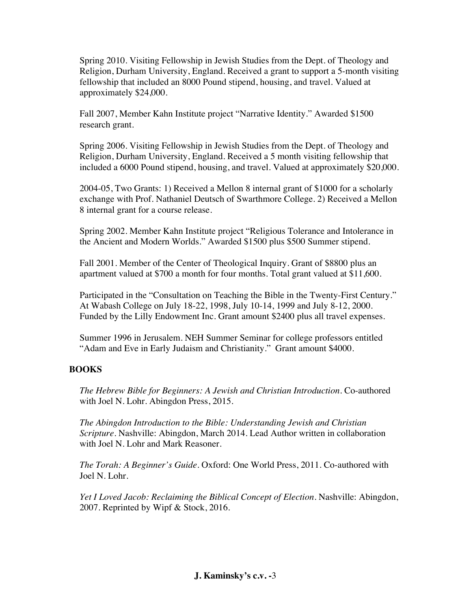Spring 2010. Visiting Fellowship in Jewish Studies from the Dept. of Theology and Religion, Durham University, England. Received a grant to support a 5-month visiting fellowship that included an 8000 Pound stipend, housing, and travel. Valued at approximately \$24,000.

Fall 2007, Member Kahn Institute project "Narrative Identity." Awarded \$1500 research grant.

Spring 2006. Visiting Fellowship in Jewish Studies from the Dept. of Theology and Religion, Durham University, England. Received a 5 month visiting fellowship that included a 6000 Pound stipend, housing, and travel. Valued at approximately \$20,000.

2004-05, Two Grants: 1) Received a Mellon 8 internal grant of \$1000 for a scholarly exchange with Prof. Nathaniel Deutsch of Swarthmore College. 2) Received a Mellon 8 internal grant for a course release.

Spring 2002. Member Kahn Institute project "Religious Tolerance and Intolerance in the Ancient and Modern Worlds." Awarded \$1500 plus \$500 Summer stipend.

Fall 2001. Member of the Center of Theological Inquiry. Grant of \$8800 plus an apartment valued at \$700 a month for four months. Total grant valued at \$11,600.

Participated in the "Consultation on Teaching the Bible in the Twenty-First Century." At Wabash College on July 18-22, 1998, July 10-14, 1999 and July 8-12, 2000. Funded by the Lilly Endowment Inc. Grant amount \$2400 plus all travel expenses.

Summer 1996 in Jerusalem. NEH Summer Seminar for college professors entitled "Adam and Eve in Early Judaism and Christianity." Grant amount \$4000.

## **BOOKS**

*The Hebrew Bible for Beginners: A Jewish and Christian Introduction.* Co-authored with Joel N. Lohr. Abingdon Press, 2015.

*The Abingdon Introduction to the Bible: Understanding Jewish and Christian Scripture.* Nashville: Abingdon, March 2014. Lead Author written in collaboration with Joel N. Lohr and Mark Reasoner.

*The Torah: A Beginner's Guide.* Oxford: One World Press, 2011. Co-authored with Joel N. Lohr.

*Yet I Loved Jacob: Reclaiming the Biblical Concept of Election*. Nashville: Abingdon, 2007. Reprinted by Wipf & Stock, 2016.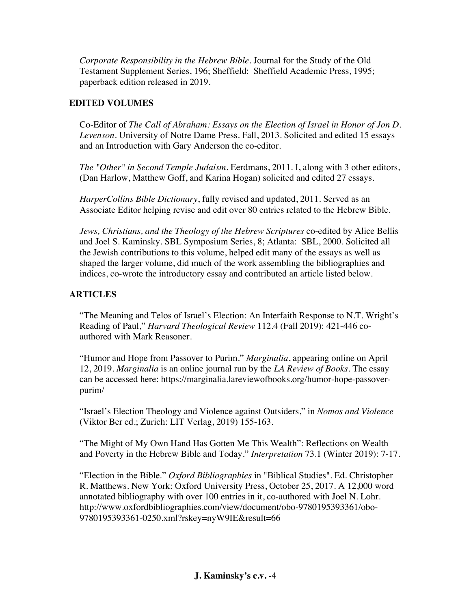*Corporate Responsibility in the Hebrew Bible*. Journal for the Study of the Old Testament Supplement Series, 196; Sheffield: Sheffield Academic Press, 1995; paperback edition released in 2019.

# **EDITED VOLUMES**

Co-Editor of *The Call of Abraham: Essays on the Election of Israel in Honor of Jon D. Levenson*. University of Notre Dame Press. Fall, 2013. Solicited and edited 15 essays and an Introduction with Gary Anderson the co-editor.

*The "Other" in Second Temple Judaism*. Eerdmans, 2011. I, along with 3 other editors, (Dan Harlow, Matthew Goff, and Karina Hogan) solicited and edited 27 essays.

*HarperCollins Bible Dictionary*, fully revised and updated, 2011. Served as an Associate Editor helping revise and edit over 80 entries related to the Hebrew Bible.

*Jews, Christians, and the Theology of the Hebrew Scriptures* co-edited by Alice Bellis and Joel S. Kaminsky. SBL Symposium Series, 8; Atlanta: SBL, 2000. Solicited all the Jewish contributions to this volume, helped edit many of the essays as well as shaped the larger volume, did much of the work assembling the bibliographies and indices, co-wrote the introductory essay and contributed an article listed below.

# **ARTICLES**

"The Meaning and Telos of Israel's Election: An Interfaith Response to N.T. Wright's Reading of Paul," *Harvard Theological Review* 112.4 (Fall 2019): 421-446 coauthored with Mark Reasoner.

"Humor and Hope from Passover to Purim." *Marginalia*, appearing online on April 12, 2019. *Marginalia* is an online journal run by the *LA Review of Books.* The essay can be accessed here: https://marginalia.lareviewofbooks.org/humor-hope-passoverpurim/

"Israel's Election Theology and Violence against Outsiders," in *Nomos and Violence* (Viktor Ber ed.; Zurich: LIT Verlag, 2019) 155-163.

"The Might of My Own Hand Has Gotten Me This Wealth": Reflections on Wealth and Poverty in the Hebrew Bible and Today." *Interpretation* 73.1 (Winter 2019): 7-17.

"Election in the Bible." *Oxford Bibliographies* in "Biblical Studies". Ed. Christopher R. Matthews. New York: Oxford University Press, October 25, 2017. A 12,000 word annotated bibliography with over 100 entries in it, co-authored with Joel N. Lohr. http://www.oxfordbibliographies.com/view/document/obo-9780195393361/obo-9780195393361-0250.xml?rskey=nyW9IE&result=66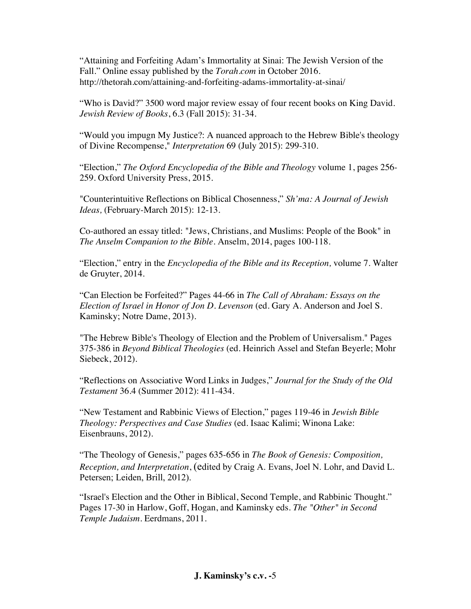"Attaining and Forfeiting Adam's Immortality at Sinai: The Jewish Version of the Fall." Online essay published by the *Torah.com* in October 2016. http://thetorah.com/attaining-and-forfeiting-adams-immortality-at-sinai/

"Who is David?" 3500 word major review essay of four recent books on King David*. Jewish Review of Books*, 6.3 (Fall 2015): 31-34.

"Would you impugn My Justice?: A nuanced approach to the Hebrew Bible's theology of Divine Recompense," *Interpretation* 69 (July 2015): 299-310.

"Election," *The Oxford Encyclopedia of the Bible and Theology* volume 1, pages 256- 259. Oxford University Press, 2015.

"Counterintuitive Reflections on Biblical Chosenness," *Sh'ma: A Journal of Jewish Ideas,* (February-March 2015): 12-13.

Co-authored an essay titled: "Jews, Christians, and Muslims: People of the Book" in *The Anselm Companion to the Bible.* Anselm, 2014, pages 100-118.

"Election," entry in the *Encyclopedia of the Bible and its Reception,* volume 7. Walter de Gruyter, 2014.

"Can Election be Forfeited?" Pages 44-66 in *The Call of Abraham: Essays on the Election of Israel in Honor of Jon D. Levenson* (ed. Gary A. Anderson and Joel S. Kaminsky; Notre Dame, 2013).

"The Hebrew Bible's Theology of Election and the Problem of Universalism." Pages 375-386 in *Beyond Biblical Theologies* (ed. Heinrich Assel and Stefan Beyerle; Mohr Siebeck, 2012).

"Reflections on Associative Word Links in Judges," *Journal for the Study of the Old Testament* 36.4 (Summer 2012): 411-434.

"New Testament and Rabbinic Views of Election," pages 119-46 in *Jewish Bible Theology: Perspectives and Case Studies* (ed. Isaac Kalimi; Winona Lake: Eisenbrauns, 2012).

"The Theology of Genesis," pages 635-656 in *The Book of Genesis: Composition, Reception, and Interpretation*, (edited by Craig A. Evans, Joel N. Lohr, and David L. Petersen; Leiden, Brill, 2012).

"Israel's Election and the Other in Biblical, Second Temple, and Rabbinic Thought." Pages 17-30 in Harlow, Goff, Hogan, and Kaminsky eds. *The "Other" in Second Temple Judaism*. Eerdmans, 2011.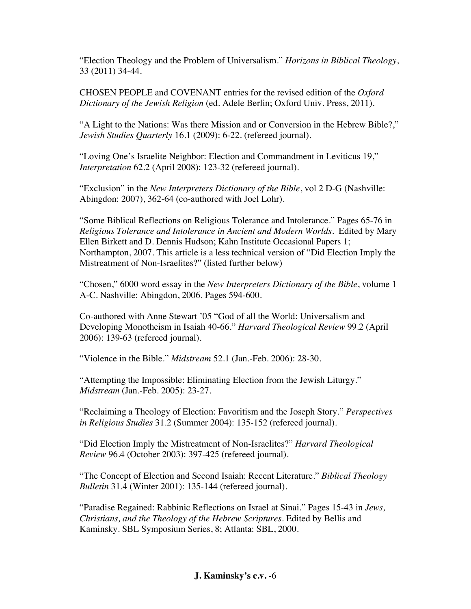"Election Theology and the Problem of Universalism." *Horizons in Biblical Theology*, 33 (2011) 34-44.

CHOSEN PEOPLE and COVENANT entries for the revised edition of the *Oxford Dictionary of the Jewish Religion* (ed. Adele Berlin; Oxford Univ. Press, 2011).

"A Light to the Nations: Was there Mission and or Conversion in the Hebrew Bible?," *Jewish Studies Quarterly* 16.1 (2009): 6-22. (refereed journal).

"Loving One's Israelite Neighbor: Election and Commandment in Leviticus 19," *Interpretation* 62.2 (April 2008): 123-32 (refereed journal).

"Exclusion" in the *New Interpreters Dictionary of the Bible*, vol 2 D-G (Nashville: Abingdon: 2007), 362-64 (co-authored with Joel Lohr).

"Some Biblical Reflections on Religious Tolerance and Intolerance." Pages 65-76 in *Religious Tolerance and Intolerance in Ancient and Modern Worlds*. Edited by Mary Ellen Birkett and D. Dennis Hudson; Kahn Institute Occasional Papers 1; Northampton, 2007. This article is a less technical version of "Did Election Imply the Mistreatment of Non-Israelites?" (listed further below)

"Chosen," 6000 word essay in the *New Interpreters Dictionary of the Bible*, volume 1 A-C. Nashville: Abingdon, 2006. Pages 594-600.

Co-authored with Anne Stewart '05 "God of all the World: Universalism and Developing Monotheism in Isaiah 40-66." *Harvard Theological Review* 99.2 (April 2006): 139-63 (refereed journal).

"Violence in the Bible." *Midstream* 52.1 (Jan.-Feb. 2006): 28-30.

"Attempting the Impossible: Eliminating Election from the Jewish Liturgy." *Midstream* (Jan.-Feb. 2005): 23-27.

"Reclaiming a Theology of Election: Favoritism and the Joseph Story." *Perspectives in Religious Studies* 31.2 (Summer 2004): 135-152 (refereed journal).

"Did Election Imply the Mistreatment of Non-Israelites?" *Harvard Theological Review* 96.4 (October 2003): 397-425 (refereed journal).

"The Concept of Election and Second Isaiah: Recent Literature." *Biblical Theology Bulletin* 31.4 (Winter 2001): 135-144 (refereed journal).

"Paradise Regained: Rabbinic Reflections on Israel at Sinai." Pages 15-43 in *Jews, Christians, and the Theology of the Hebrew Scriptures*. Edited by Bellis and Kaminsky. SBL Symposium Series, 8; Atlanta: SBL, 2000.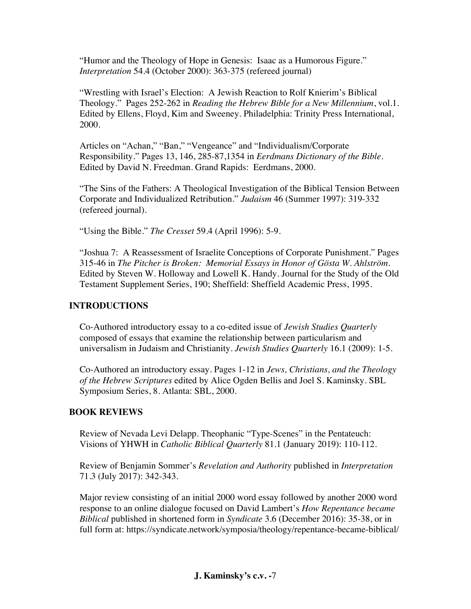"Humor and the Theology of Hope in Genesis: Isaac as a Humorous Figure." *Interpretation* 54.4 (October 2000): 363-375 (refereed journal)

"Wrestling with Israel's Election: A Jewish Reaction to Rolf Knierim's Biblical Theology." Pages 252-262 in *Reading the Hebrew Bible for a New Millennium*, vol.1. Edited by Ellens, Floyd, Kim and Sweeney. Philadelphia: Trinity Press International, 2000.

Articles on "Achan," "Ban," "Vengeance" and "Individualism/Corporate Responsibility." Pages 13, 146, 285-87,1354 in *Eerdmans Dictionary of the Bible*. Edited by David N. Freedman. Grand Rapids: Eerdmans, 2000.

"The Sins of the Fathers: A Theological Investigation of the Biblical Tension Between Corporate and Individualized Retribution." *Judaism* 46 (Summer 1997): 319-332 (refereed journal).

"Using the Bible." *The Cresset* 59.4 (April 1996): 5-9.

"Joshua 7: A Reassessment of Israelite Conceptions of Corporate Punishment." Pages 315-46 in *The Pitcher is Broken: Memorial Essays in Honor of Gösta W. Ahlström*. Edited by Steven W. Holloway and Lowell K. Handy. Journal for the Study of the Old Testament Supplement Series, 190; Sheffield: Sheffield Academic Press, 1995.

## **INTRODUCTIONS**

Co-Authored introductory essay to a co-edited issue of *Jewish Studies Quarterly* composed of essays that examine the relationship between particularism and universalism in Judaism and Christianity. *Jewish Studies Quarterly* 16.1 (2009): 1-5.

Co-Authored an introductory essay. Pages 1-12 in *Jews, Christians, and the Theology of the Hebrew Scriptures* edited by Alice Ogden Bellis and Joel S. Kaminsky. SBL Symposium Series, 8. Atlanta: SBL, 2000.

## **BOOK REVIEWS**

Review of Nevada Levi Delapp. Theophanic "Type-Scenes" in the Pentateuch: Visions of YHWH in *Catholic Biblical Quarterly* 81.1 (January 2019): 110-112.

Review of Benjamin Sommer's *Revelation and Authority* published in *Interpretation*  71.3 (July 2017): 342-343.

Major review consisting of an initial 2000 word essay followed by another 2000 word response to an online dialogue focused on David Lambert's *How Repentance became Biblical* published in shortened form in *Syndicate* 3.6 (December 2016): 35-38, or in full form at: https://syndicate.network/symposia/theology/repentance-became-biblical/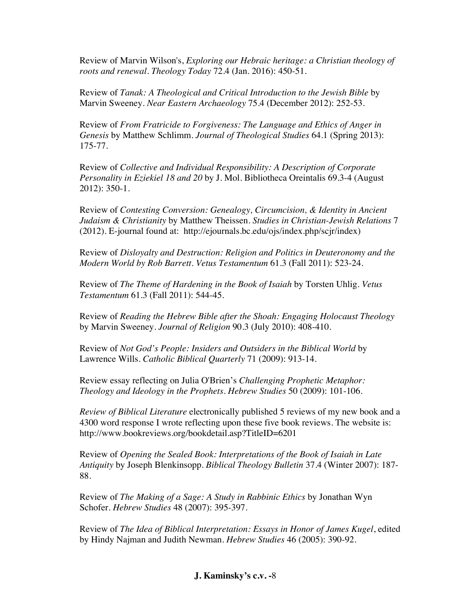Review of Marvin Wilson's, *Exploring our Hebraic heritage: a Christian theology of roots and renewal. Theology Today* 72.4 (Jan. 2016): 450-51.

Review of *Tanak: A Theological and Critical Introduction to the Jewish Bible* by Marvin Sweeney. *Near Eastern Archaeology* 75.4 (December 2012): 252-53.

Review of *From Fratricide to Forgiveness: The Language and Ethics of Anger in Genesis* by Matthew Schlimm. *Journal of Theological Studies* 64.1 (Spring 2013): 175-77.

Review of *Collective and Individual Responsibility: A Description of Corporate Personality in Eziekiel 18 and 20* by J. Mol. Bibliotheca Oreintalis 69.3-4 (August 2012): 350-1.

Review of *Contesting Conversion: Genealogy, Circumcision, & Identity in Ancient Judaism & Christianity* by Matthew Theissen. *Studies in Christian-Jewish Relations* 7 (2012). E-journal found at: http://ejournals.bc.edu/ojs/index.php/scjr/index)

Review of *Disloyalty and Destruction: Religion and Politics in Deuteronomy and the Modern World by Rob Barrett. Vetus Testamentum* 61.3 (Fall 2011): 523-24.

Review of *The Theme of Hardening in the Book of Isaiah* by Torsten Uhlig. *Vetus Testamentum* 61.3 (Fall 2011): 544-45.

Review of *Reading the Hebrew Bible after the Shoah: Engaging Holocaust Theology* by Marvin Sweeney. *Journal of Religion* 90.3 (July 2010): 408-410.

Review of *Not God's People: Insiders and Outsiders in the Biblical World* by Lawrence Wills. *Catholic Biblical Quarterly* 71 (2009): 913-14.

Review essay reflecting on Julia O'Brien's *Challenging Prophetic Metaphor: Theology and Ideology in the Prophets*. *Hebrew Studies* 50 (2009): 101-106.

*Review of Biblical Literature* electronically published 5 reviews of my new book and a 4300 word response I wrote reflecting upon these five book reviews. The website is: http://www.bookreviews.org/bookdetail.asp?TitleID=6201

Review of *Opening the Sealed Book: Interpretations of the Book of Isaiah in Late Antiquity* by Joseph Blenkinsopp. *Biblical Theology Bulletin* 37.4 (Winter 2007): 187- 88.

Review of *The Making of a Sage: A Study in Rabbinic Ethics* by Jonathan Wyn Schofer. *Hebrew Studies* 48 (2007): 395-397.

Review of *The Idea of Biblical Interpretation: Essays in Honor of James Kugel*, edited by Hindy Najman and Judith Newman. *Hebrew Studies* 46 (2005): 390-92.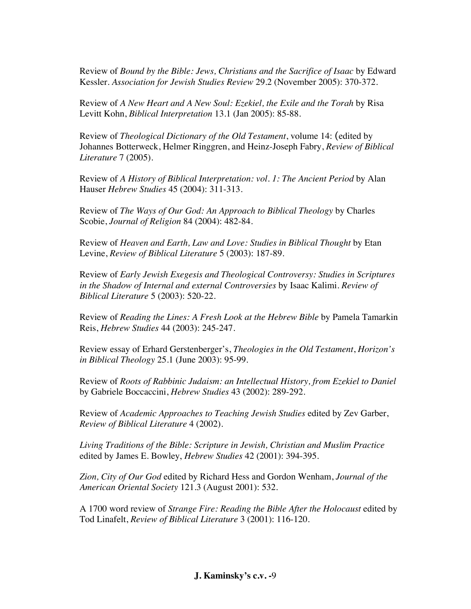Review of *Bound by the Bible: Jews, Christians and the Sacrifice of Isaac* by Edward Kessler. *Association for Jewish Studies Review* 29.2 (November 2005): 370-372.

Review of *A New Heart and A New Soul: Ezekiel, the Exile and the Torah* by Risa Levitt Kohn, *Biblical Interpretation* 13.1 (Jan 2005): 85-88.

Review of *Theological Dictionary of the Old Testament*, volume 14: (edited by Johannes Botterweck, Helmer Ringgren, and Heinz-Joseph Fabry, *Review of Biblical Literature* 7 (2005).

Review of *A History of Biblical Interpretation: vol. 1: The Ancient Period* by Alan Hauser *Hebrew Studies* 45 (2004): 311-313.

Review of *The Ways of Our God: An Approach to Biblical Theology* by Charles Scobie, *Journal of Religion* 84 (2004): 482-84.

Review of *Heaven and Earth, Law and Love: Studies in Biblical Thought* by Etan Levine, *Review of Biblical Literature* 5 (2003): 187-89.

Review of *Early Jewish Exegesis and Theological Controversy: Studies in Scriptures in the Shadow of Internal and external Controversies* by Isaac Kalimi. *Review of Biblical Literature* 5 (2003): 520-22.

Review of *Reading the Lines: A Fresh Look at the Hebrew Bible* by Pamela Tamarkin Reis, *Hebrew Studies* 44 (2003): 245-247.

Review essay of Erhard Gerstenberger's, *Theologies in the Old Testament*, *Horizon's in Biblical Theology* 25.1 (June 2003): 95-99.

Review of *Roots of Rabbinic Judaism: an Intellectual History, from Ezekiel to Daniel* by Gabriele Boccaccini, *Hebrew Studies* 43 (2002): 289-292.

Review of *Academic Approaches to Teaching Jewish Studies* edited by Zev Garber, *Review of Biblical Literature* 4 (2002).

*Living Traditions of the Bible: Scripture in Jewish, Christian and Muslim Practice* edited by James E. Bowley, *Hebrew Studies* 42 (2001): 394-395.

*Zion, City of Our God* edited by Richard Hess and Gordon Wenham, *Journal of the American Oriental Society* 121.3 (August 2001): 532.

A 1700 word review of *Strange Fire: Reading the Bible After the Holocaust* edited by Tod Linafelt, *Review of Biblical Literature* 3 (2001): 116-120.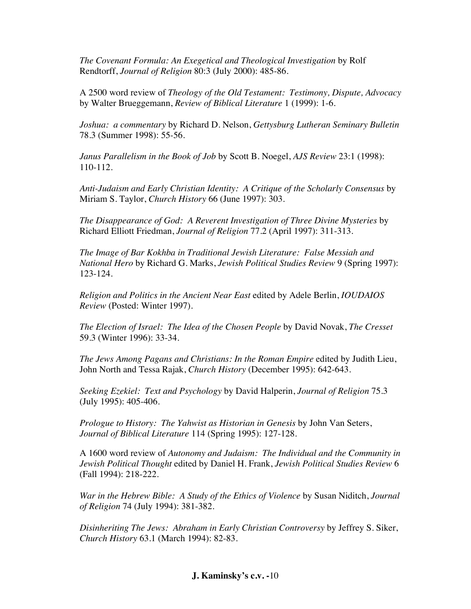*The Covenant Formula: An Exegetical and Theological Investigation* by Rolf Rendtorff, *Journal of Religion* 80:3 (July 2000): 485-86.

A 2500 word review of *Theology of the Old Testament: Testimony, Dispute, Advocacy* by Walter Brueggemann, *Review of Biblical Literature* 1 (1999): 1-6.

*Joshua: a commentary* by Richard D. Nelson, *Gettysburg Lutheran Seminary Bulletin* 78.3 (Summer 1998): 55-56.

*Janus Parallelism in the Book of Job* by Scott B. Noegel, *AJS Review* 23:1 (1998): 110-112.

*Anti-Judaism and Early Christian Identity: A Critique of the Scholarly Consensus* by Miriam S. Taylor, *Church History* 66 (June 1997): 303.

*The Disappearance of God: A Reverent Investigation of Three Divine Mysteries* by Richard Elliott Friedman, *Journal of Religion* 77.2 (April 1997): 311-313.

*The Image of Bar Kokhba in Traditional Jewish Literature: False Messiah and National Hero* by Richard G. Marks, *Jewish Political Studies Review* 9 (Spring 1997): 123-124.

*Religion and Politics in the Ancient Near East* edited by Adele Berlin, *IOUDAIOS Review* (Posted: Winter 1997).

*The Election of Israel: The Idea of the Chosen People* by David Novak, *The Cresset* 59.3 (Winter 1996): 33-34.

*The Jews Among Pagans and Christians: In the Roman Empire* edited by Judith Lieu, John North and Tessa Rajak, *Church History* (December 1995): 642-643.

*Seeking Ezekiel: Text and Psychology* by David Halperin, *Journal of Religion* 75.3 (July 1995): 405-406.

*Prologue to History: The Yahwist as Historian in Genesis* by John Van Seters, *Journal of Biblical Literature* 114 (Spring 1995): 127-128.

A 1600 word review of *Autonomy and Judaism: The Individual and the Community in Jewish Political Thought* edited by Daniel H. Frank, *Jewish Political Studies Review* 6 (Fall 1994): 218-222.

*War in the Hebrew Bible: A Study of the Ethics of Violence* by Susan Niditch, *Journal of Religion* 74 (July 1994): 381-382.

*Disinheriting The Jews: Abraham in Early Christian Controversy* by Jeffrey S. Siker, *Church History* 63.1 (March 1994): 82-83.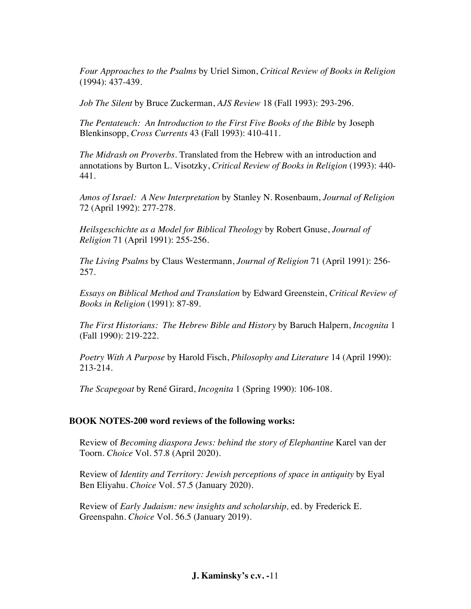*Four Approaches to the Psalms* by Uriel Simon, *Critical Review of Books in Religion* (1994): 437-439.

*Job The Silent* by Bruce Zuckerman, *AJS Review* 18 (Fall 1993): 293-296.

*The Pentateuch: An Introduction to the First Five Books of the Bible* by Joseph Blenkinsopp, *Cross Currents* 43 (Fall 1993): 410-411.

*The Midrash on Proverbs*. Translated from the Hebrew with an introduction and annotations by Burton L. Visotzky, *Critical Review of Books in Religion* (1993): 440- 441.

*Amos of Israel: A New Interpretation* by Stanley N. Rosenbaum, *Journal of Religion* 72 (April 1992): 277-278.

*Heilsgeschichte as a Model for Biblical Theology* by Robert Gnuse, *Journal of Religion* 71 (April 1991): 255-256.

*The Living Psalms* by Claus Westermann, *Journal of Religion* 71 (April 1991): 256- 257.

*Essays on Biblical Method and Translation* by Edward Greenstein, *Critical Review of Books in Religion* (1991): 87-89.

*The First Historians: The Hebrew Bible and History* by Baruch Halpern, *Incognita* 1 (Fall 1990): 219-222.

*Poetry With A Purpose* by Harold Fisch, *Philosophy and Literature* 14 (April 1990): 213-214.

*The Scapegoat* by René Girard, *Incognita* 1 (Spring 1990): 106-108.

#### **BOOK NOTES-200 word reviews of the following works:**

Review of *Becoming diaspora Jews: behind the story of Elephantine* Karel van der Toorn. *Choice* Vol. 57.8 (April 2020).

Review of *Identity and Territory: Jewish perceptions of space in antiquity* by Eyal Ben Eliyahu. *Choice* Vol. 57.5 (January 2020).

Review of *Early Judaism: new insights and scholarship,* ed. by Frederick E. Greenspahn. *Choice* Vol. 56.5 (January 2019).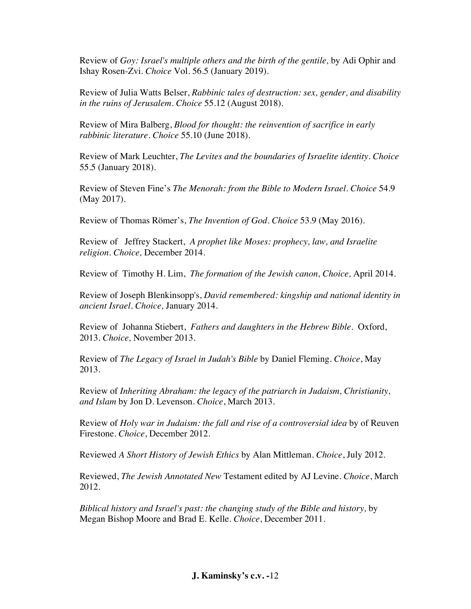Review of *Goy: Israel's multiple others and the birth of the gentile,* by Adi Ophir and Ishay Rosen-Zvi. *Choice* Vol. 56.5 (January 2019).

Review of Julia Watts Belser, *Rabbinic tales of destruction: sex, gender, and disability in the ruins of Jerusalem. Choice* 55.12 (August 2018).

Review of Mira Balberg, *Blood for thought: the reinvention of sacrifice in early rabbinic literature. Choice* 55.10 (June 2018).

Review of Mark Leuchter, *The Levites and the boundaries of Israelite identity. Choice* 55.5 (January 2018).

Review of Steven Fine's *The Menorah: from the Bible to Modern Israel. Choice* 54.9 (May 2017).

Review of Thomas Römer's, *The Invention of God. Choice* 53.9 (May 2016).

Review of Jeffrey Stackert, *A prophet like Moses: prophecy, law, and Israelite religion. Choice,* December 2014.

Review of Timothy H. Lim, *The formation of the Jewish canon, Choice,* April 2014.

Review of Joseph Blenkinsopp's, *David remembered: kingship and national identity in ancient Israel. Choice,* January 2014.

Review of Johanna Stiebert, *Fathers and daughters in the Hebrew Bible.* Oxford, 2013. *Choice,* November 2013.

Review of *The Legacy of Israel in Judah's Bible* by Daniel Fleming. *Choice*, May 2013.

Review of *Inheriting Abraham: the legacy of the patriarch in Judaism, Christianity, and Islam* by Jon D. Levenson. *Choice*, March 2013.

Review of *Holy war in Judaism: the fall and rise of a controversial idea* by of Reuven Firestone. *Choice*, December 2012.

Reviewed *A Short History of Jewish Ethics* by Alan Mittleman. *Choice*, July 2012.

Reviewed, *The Jewish Annotated New* Testament edited by AJ Levine. *Choice*, March 2012.

*Biblical history and Israel's past: the changing study of the Bible and history,* by Megan Bishop Moore and Brad E. Kelle. *Choice*, December 2011.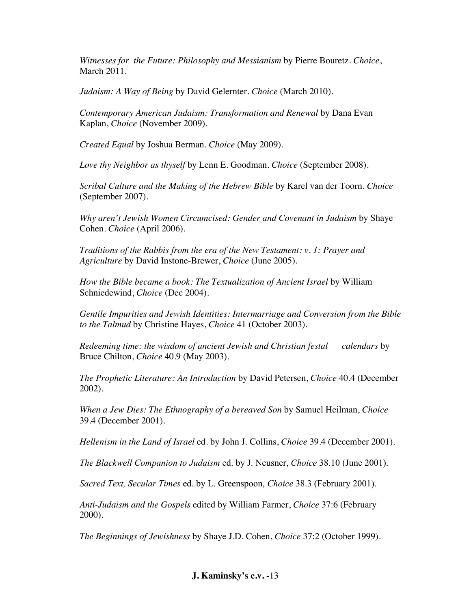*Witnesses for the Future: Philosophy and Messianism* by Pierre Bouretz. *Choice*, March 2011.

*Judaism: A Way of Being* by David Gelernter. *Choice* (March 2010).

*Contemporary American Judaism: Transformation and Renewal* by Dana Evan Kaplan, *Choice* (November 2009).

*Created Equal* by Joshua Berman. *Choice* (May 2009).

*Love thy Neighbor as thyself* by Lenn E. Goodman. *Choice* (September 2008).

*Scribal Culture and the Making of the Hebrew Bible* by Karel van der Toorn. *Choice* (September 2007).

*Why aren't Jewish Women Circumcised: Gender and Covenant in Judaism* by Shaye Cohen. *Choice* (April 2006).

*Traditions of the Rabbis from the era of the New Testament: v. 1: Prayer and Agriculture* by David Instone-Brewer, *Choice* (June 2005).

*How the Bible became a book: The Textualization of Ancient Israel* by William Schniedewind, *Choice* (Dec 2004).

*Gentile Impurities and Jewish Identities: Intermarriage and Conversion from the Bible to the Talmud* by Christine Hayes, *Choice* 41 (October 2003).

*Redeeming time: the wisdom of ancient Jewish and Christian festal calendars* by Bruce Chilton, *Choice* 40.9 (May 2003).

*The Prophetic Literature: An Introduction* by David Petersen, *Choice* 40.4 (December 2002).

*When a Jew Dies: The Ethnography of a bereaved Son* by Samuel Heilman, *Choice* 39.4 (December 2001).

*Hellenism in the Land of Israel* ed. by John J. Collins, *Choice* 39.4 (December 2001).

*The Blackwell Companion to Judaism* ed. by J. Neusner, *Choice* 38.10 (June 2001).

*Sacred Text, Secular Times* ed. by L. Greenspoon, *Choice* 38.3 (February 2001).

*Anti-Judaism and the Gospels* edited by William Farmer, *Choice* 37:6 (February 2000).

*The Beginnings of Jewishness* by Shaye J.D. Cohen, *Choice* 37:2 (October 1999).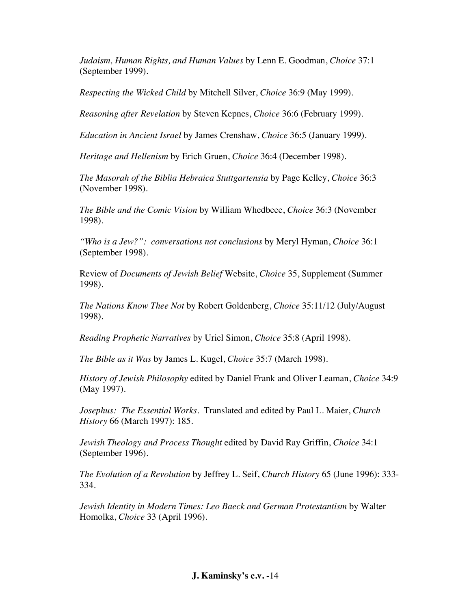*Judaism, Human Rights, and Human Values* by Lenn E. Goodman, *Choice* 37:1 (September 1999).

*Respecting the Wicked Child* by Mitchell Silver, *Choice* 36:9 (May 1999).

*Reasoning after Revelation* by Steven Kepnes, *Choice* 36:6 (February 1999).

*Education in Ancient Israel* by James Crenshaw, *Choice* 36:5 (January 1999).

*Heritage and Hellenism* by Erich Gruen, *Choice* 36:4 (December 1998).

*The Masorah of the Biblia Hebraica Stuttgartensia* by Page Kelley, *Choice* 36:3 (November 1998).

*The Bible and the Comic Vision* by William Whedbeee, *Choice* 36:3 (November 1998).

*"Who is a Jew?": conversations not conclusions* by Meryl Hyman, *Choice* 36:1 (September 1998).

Review of *Documents of Jewish Belief* Website, *Choice* 35, Supplement (Summer 1998).

*The Nations Know Thee Not* by Robert Goldenberg, *Choice* 35:11/12 (July/August 1998).

*Reading Prophetic Narratives* by Uriel Simon, *Choice* 35:8 (April 1998).

*The Bible as it Was* by James L. Kugel, *Choice* 35:7 (March 1998).

*History of Jewish Philosophy* edited by Daniel Frank and Oliver Leaman, *Choice* 34:9 (May 1997).

*Josephus: The Essential Works*. Translated and edited by Paul L. Maier, *Church History* 66 (March 1997): 185.

*Jewish Theology and Process Thought* edited by David Ray Griffin, *Choice* 34:1 (September 1996).

*The Evolution of a Revolution* by Jeffrey L. Seif, *Church History* 65 (June 1996): 333- 334.

*Jewish Identity in Modern Times: Leo Baeck and German Protestantism* by Walter Homolka, *Choice* 33 (April 1996).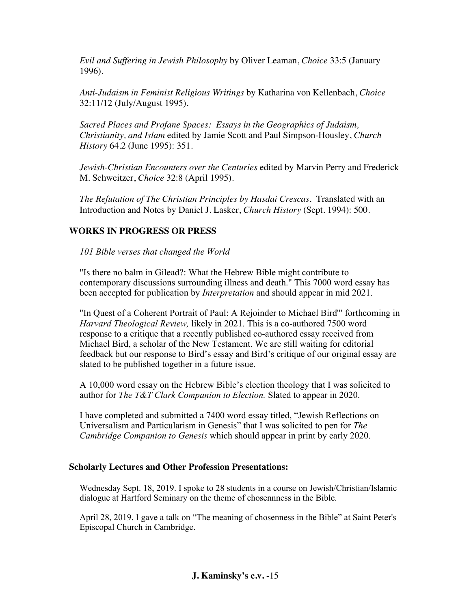*Evil and Suffering in Jewish Philosophy* by Oliver Leaman, *Choice* 33:5 (January 1996).

*Anti-Judaism in Feminist Religious Writings* by Katharina von Kellenbach, *Choice* 32:11/12 (July/August 1995).

*Sacred Places and Profane Spaces: Essays in the Geographics of Judaism, Christianity, and Islam* edited by Jamie Scott and Paul Simpson-Housley, *Church History* 64.2 (June 1995): 351.

*Jewish-Christian Encounters over the Centuries* edited by Marvin Perry and Frederick M. Schweitzer, *Choice* 32:8 (April 1995).

*The Refutation of The Christian Principles by Hasdai Crescas*. Translated with an Introduction and Notes by Daniel J. Lasker, *Church History* (Sept. 1994): 500.

# **WORKS IN PROGRESS OR PRESS**

*101 Bible verses that changed the World*

"Is there no balm in Gilead?: What the Hebrew Bible might contribute to contemporary discussions surrounding illness and death." This 7000 word essay has been accepted for publication by *Interpretation* and should appear in mid 2021.

"In Quest of a Coherent Portrait of Paul: A Rejoinder to Michael Bird'" forthcoming in *Harvard Theological Review,* likely in 2021. This is a co-authored 7500 word response to a critique that a recently published co-authored essay received from Michael Bird, a scholar of the New Testament. We are still waiting for editorial feedback but our response to Bird's essay and Bird's critique of our original essay are slated to be published together in a future issue.

A 10,000 word essay on the Hebrew Bible's election theology that I was solicited to author for *The T&T Clark Companion to Election.* Slated to appear in 2020.

I have completed and submitted a 7400 word essay titled, "Jewish Reflections on Universalism and Particularism in Genesis" that I was solicited to pen for *The Cambridge Companion to Genesis* which should appear in print by early 2020.

## **Scholarly Lectures and Other Profession Presentations:**

Wednesday Sept. 18, 2019. I spoke to 28 students in a course on Jewish/Christian/Islamic dialogue at Hartford Seminary on the theme of chosennness in the Bible.

April 28, 2019. I gave a talk on "The meaning of chosenness in the Bible" at Saint Peter's Episcopal Church in Cambridge.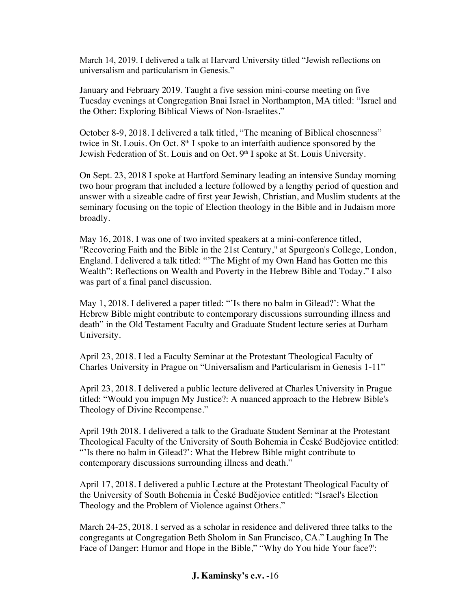March 14, 2019. I delivered a talk at Harvard University titled "Jewish reflections on universalism and particularism in Genesis."

January and February 2019. Taught a five session mini-course meeting on five Tuesday evenings at Congregation Bnai Israel in Northampton, MA titled: "Israel and the Other: Exploring Biblical Views of Non-Israelites."

October 8-9, 2018. I delivered a talk titled, "The meaning of Biblical chosenness" twice in St. Louis. On Oct.  $8<sup>th</sup>$  I spoke to an interfaith audience sponsored by the Jewish Federation of St. Louis and on Oct. 9<sup>th</sup> I spoke at St. Louis University.

On Sept. 23, 2018 I spoke at Hartford Seminary leading an intensive Sunday morning two hour program that included a lecture followed by a lengthy period of question and answer with a sizeable cadre of first year Jewish, Christian, and Muslim students at the seminary focusing on the topic of Election theology in the Bible and in Judaism more broadly.

May 16, 2018. I was one of two invited speakers at a mini-conference titled, "Recovering Faith and the Bible in the 21st Century," at Spurgeon's College, London, England. I delivered a talk titled: "'The Might of my Own Hand has Gotten me this Wealth": Reflections on Wealth and Poverty in the Hebrew Bible and Today." I also was part of a final panel discussion.

May 1, 2018. I delivered a paper titled: "'Is there no balm in Gilead?': What the Hebrew Bible might contribute to contemporary discussions surrounding illness and death" in the Old Testament Faculty and Graduate Student lecture series at Durham University.

April 23, 2018. I led a Faculty Seminar at the Protestant Theological Faculty of Charles University in Prague on "Universalism and Particularism in Genesis 1-11"

April 23, 2018. I delivered a public lecture delivered at Charles University in Prague titled: "Would you impugn My Justice?: A nuanced approach to the Hebrew Bible's Theology of Divine Recompense."

April 19th 2018. I delivered a talk to the Graduate Student Seminar at the Protestant Theological Faculty of the University of South Bohemia in České Budějovice entitled: "'Is there no balm in Gilead?': What the Hebrew Bible might contribute to contemporary discussions surrounding illness and death."

April 17, 2018. I delivered a public Lecture at the Protestant Theological Faculty of the University of South Bohemia in České Budějovice entitled: "Israel's Election Theology and the Problem of Violence against Others."

March 24-25, 2018. I served as a scholar in residence and delivered three talks to the congregants at Congregation Beth Sholom in San Francisco, CA." Laughing In The Face of Danger: Humor and Hope in the Bible," "Why do You hide Your face?':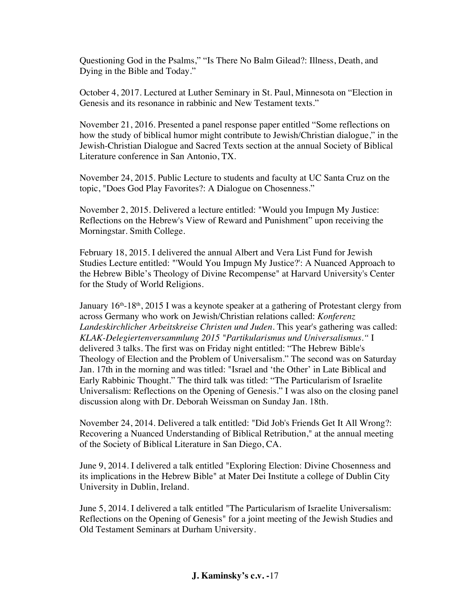Questioning God in the Psalms," "Is There No Balm Gilead?: Illness, Death, and Dying in the Bible and Today."

October 4, 2017. Lectured at Luther Seminary in St. Paul, Minnesota on "Election in Genesis and its resonance in rabbinic and New Testament texts."

November 21, 2016. Presented a panel response paper entitled "Some reflections on how the study of biblical humor might contribute to Jewish/Christian dialogue," in the Jewish-Christian Dialogue and Sacred Texts section at the annual Society of Biblical Literature conference in San Antonio, TX.

November 24, 2015. Public Lecture to students and faculty at UC Santa Cruz on the topic, "Does God Play Favorites?: A Dialogue on Chosenness."

November 2, 2015. Delivered a lecture entitled: "Would you Impugn My Justice: Reflections on the Hebrew's View of Reward and Punishment" upon receiving the Morningstar. Smith College.

February 18, 2015. I delivered the annual Albert and Vera List Fund for Jewish Studies Lecture entitled: "'Would You Impugn My Justice?': A Nuanced Approach to the Hebrew Bible's Theology of Divine Recompense" at Harvard University's Center for the Study of World Religions.

January  $16<sup>th</sup> - 18<sup>th</sup>$ , 2015 I was a keynote speaker at a gathering of Protestant clergy from across Germany who work on Jewish/Christian relations called: *Konferenz Landeskirchlicher Arbeitskreise Christen und Juden.* This year's gathering was called: *KLAK-Delegiertenversammlung 2015 "Partikularismus und Universalismus."* I delivered 3 talks. The first was on Friday night entitled: "The Hebrew Bible's Theology of Election and the Problem of Universalism." The second was on Saturday Jan. 17th in the morning and was titled: "Israel and 'the Other' in Late Biblical and Early Rabbinic Thought." The third talk was titled: "The Particularism of Israelite Universalism: Reflections on the Opening of Genesis." I was also on the closing panel discussion along with Dr. Deborah Weissman on Sunday Jan. 18th.

November 24, 2014. Delivered a talk entitled: "Did Job's Friends Get It All Wrong?: Recovering a Nuanced Understanding of Biblical Retribution," at the annual meeting of the Society of Biblical Literature in San Diego, CA.

June 9, 2014. I delivered a talk entitled "Exploring Election: Divine Chosenness and its implications in the Hebrew Bible" at Mater Dei Institute a college of Dublin City University in Dublin, Ireland.

June 5, 2014. I delivered a talk entitled "The Particularism of Israelite Universalism: Reflections on the Opening of Genesis" for a joint meeting of the Jewish Studies and Old Testament Seminars at Durham University.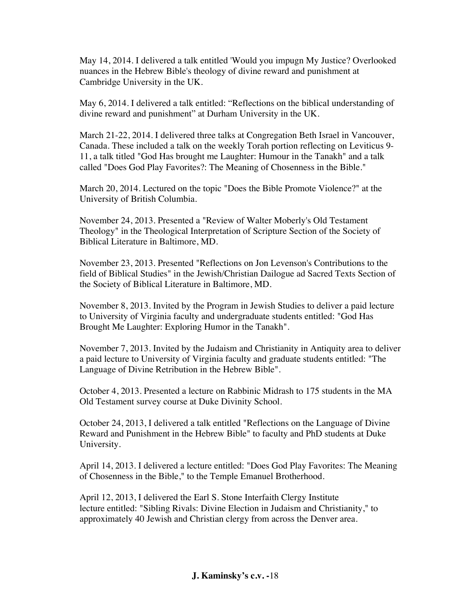May 14, 2014. I delivered a talk entitled 'Would you impugn My Justice? Overlooked nuances in the Hebrew Bible's theology of divine reward and punishment at Cambridge University in the UK.

May 6, 2014. I delivered a talk entitled: "Reflections on the biblical understanding of divine reward and punishment" at Durham University in the UK.

March 21-22, 2014. I delivered three talks at Congregation Beth Israel in Vancouver, Canada. These included a talk on the weekly Torah portion reflecting on Leviticus 9- 11, a talk titled "God Has brought me Laughter: Humour in the Tanakh" and a talk called "Does God Play Favorites?: The Meaning of Chosenness in the Bible."

March 20, 2014. Lectured on the topic "Does the Bible Promote Violence?" at the University of British Columbia.

November 24, 2013. Presented a "Review of Walter Moberly's Old Testament Theology" in the Theological Interpretation of Scripture Section of the Society of Biblical Literature in Baltimore, MD.

November 23, 2013. Presented "Reflections on Jon Levenson's Contributions to the field of Biblical Studies" in the Jewish/Christian Dailogue ad Sacred Texts Section of the Society of Biblical Literature in Baltimore, MD.

November 8, 2013. Invited by the Program in Jewish Studies to deliver a paid lecture to University of Virginia faculty and undergraduate students entitled: "God Has Brought Me Laughter: Exploring Humor in the Tanakh".

November 7, 2013. Invited by the Judaism and Christianity in Antiquity area to deliver a paid lecture to University of Virginia faculty and graduate students entitled: "The Language of Divine Retribution in the Hebrew Bible".

October 4, 2013. Presented a lecture on Rabbinic Midrash to 175 students in the MA Old Testament survey course at Duke Divinity School.

October 24, 2013, I delivered a talk entitled "Reflections on the Language of Divine Reward and Punishment in the Hebrew Bible" to faculty and PhD students at Duke University.

April 14, 2013. I delivered a lecture entitled: "Does God Play Favorites: The Meaning of Chosenness in the Bible," to the Temple Emanuel Brotherhood.

April 12, 2013, I delivered the Earl S. Stone Interfaith Clergy Institute lecture entitled: "Sibling Rivals: Divine Election in Judaism and Christianity," to approximately 40 Jewish and Christian clergy from across the Denver area.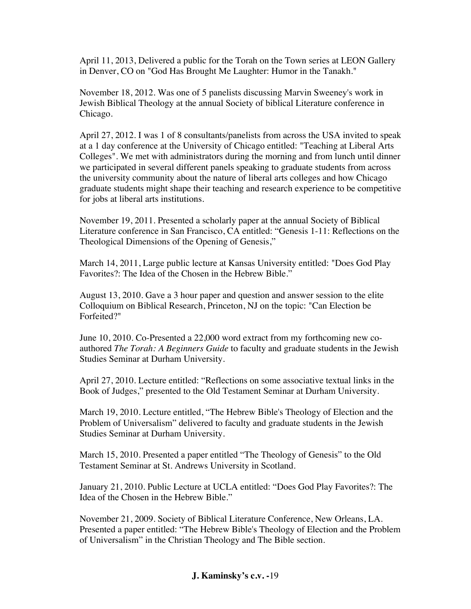April 11, 2013, Delivered a public for the Torah on the Town series at LEON Gallery in Denver, CO on "God Has Brought Me Laughter: Humor in the Tanakh."

November 18, 2012. Was one of 5 panelists discussing Marvin Sweeney's work in Jewish Biblical Theology at the annual Society of biblical Literature conference in Chicago.

April 27, 2012. I was 1 of 8 consultants/panelists from across the USA invited to speak at a 1 day conference at the University of Chicago entitled: "Teaching at Liberal Arts Colleges". We met with administrators during the morning and from lunch until dinner we participated in several different panels speaking to graduate students from across the university community about the nature of liberal arts colleges and how Chicago graduate students might shape their teaching and research experience to be competitive for jobs at liberal arts institutions.

November 19, 2011. Presented a scholarly paper at the annual Society of Biblical Literature conference in San Francisco, CA entitled: "Genesis 1-11: Reflections on the Theological Dimensions of the Opening of Genesis,"

March 14, 2011, Large public lecture at Kansas University entitled: "Does God Play Favorites?: The Idea of the Chosen in the Hebrew Bible."

August 13, 2010. Gave a 3 hour paper and question and answer session to the elite Colloquium on Biblical Research, Princeton, NJ on the topic: "Can Election be Forfeited?"

June 10, 2010. Co-Presented a 22,000 word extract from my forthcoming new coauthored *The Torah: A Beginners Guide* to faculty and graduate students in the Jewish Studies Seminar at Durham University.

April 27, 2010. Lecture entitled: "Reflections on some associative textual links in the Book of Judges," presented to the Old Testament Seminar at Durham University.

March 19, 2010. Lecture entitled, "The Hebrew Bible's Theology of Election and the Problem of Universalism" delivered to faculty and graduate students in the Jewish Studies Seminar at Durham University.

March 15, 2010. Presented a paper entitled "The Theology of Genesis" to the Old Testament Seminar at St. Andrews University in Scotland.

January 21, 2010. Public Lecture at UCLA entitled: "Does God Play Favorites?: The Idea of the Chosen in the Hebrew Bible."

November 21, 2009. Society of Biblical Literature Conference, New Orleans, LA. Presented a paper entitled: "The Hebrew Bible's Theology of Election and the Problem of Universalism" in the Christian Theology and The Bible section.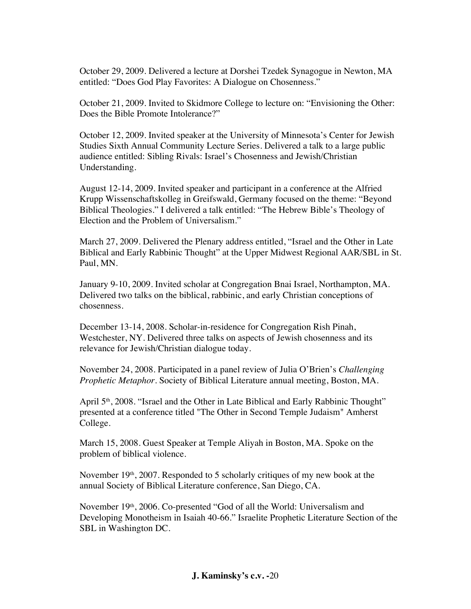October 29, 2009. Delivered a lecture at Dorshei Tzedek Synagogue in Newton, MA entitled: "Does God Play Favorites: A Dialogue on Chosenness."

October 21, 2009. Invited to Skidmore College to lecture on: "Envisioning the Other: Does the Bible Promote Intolerance?"

October 12, 2009. Invited speaker at the University of Minnesota's Center for Jewish Studies Sixth Annual Community Lecture Series. Delivered a talk to a large public audience entitled: Sibling Rivals: Israel's Chosenness and Jewish/Christian Understanding.

August 12-14, 2009. Invited speaker and participant in a conference at the Alfried Krupp Wissenschaftskolleg in Greifswald, Germany focused on the theme: "Beyond Biblical Theologies." I delivered a talk entitled: "The Hebrew Bible's Theology of Election and the Problem of Universalism."

March 27, 2009. Delivered the Plenary address entitled, "Israel and the Other in Late Biblical and Early Rabbinic Thought" at the Upper Midwest Regional AAR/SBL in St. Paul, MN.

January 9-10, 2009. Invited scholar at Congregation Bnai Israel, Northampton, MA. Delivered two talks on the biblical, rabbinic, and early Christian conceptions of chosenness.

December 13-14, 2008. Scholar-in-residence for Congregation Rish Pinah, Westchester, NY. Delivered three talks on aspects of Jewish chosenness and its relevance for Jewish/Christian dialogue today.

November 24, 2008. Participated in a panel review of Julia O'Brien's *Challenging Prophetic Metaphor.* Society of Biblical Literature annual meeting, Boston, MA.

April 5<sup>th</sup>, 2008. "Israel and the Other in Late Biblical and Early Rabbinic Thought" presented at a conference titled "The Other in Second Temple Judaism" Amherst College.

March 15, 2008. Guest Speaker at Temple Aliyah in Boston, MA. Spoke on the problem of biblical violence.

November  $19<sup>th</sup>$ , 2007. Responded to 5 scholarly critiques of my new book at the annual Society of Biblical Literature conference, San Diego, CA.

November 19<sup>th</sup>, 2006. Co-presented "God of all the World: Universalism and Developing Monotheism in Isaiah 40-66." Israelite Prophetic Literature Section of the SBL in Washington DC.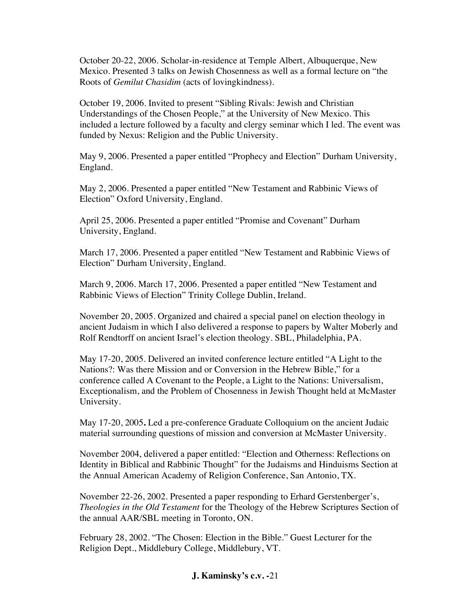October 20-22, 2006. Scholar-in-residence at Temple Albert, Albuquerque, New Mexico. Presented 3 talks on Jewish Chosenness as well as a formal lecture on "the Roots of *Gemilut Chasidim* (acts of lovingkindness).

October 19, 2006. Invited to present "Sibling Rivals: Jewish and Christian Understandings of the Chosen People," at the University of New Mexico. This included a lecture followed by a faculty and clergy seminar which I led. The event was funded by Nexus: Religion and the Public University.

May 9, 2006. Presented a paper entitled "Prophecy and Election" Durham University, England.

May 2, 2006. Presented a paper entitled "New Testament and Rabbinic Views of Election" Oxford University, England.

April 25, 2006. Presented a paper entitled "Promise and Covenant" Durham University, England.

March 17, 2006. Presented a paper entitled "New Testament and Rabbinic Views of Election" Durham University, England.

March 9, 2006. March 17, 2006. Presented a paper entitled "New Testament and Rabbinic Views of Election" Trinity College Dublin, Ireland.

November 20, 2005. Organized and chaired a special panel on election theology in ancient Judaism in which I also delivered a response to papers by Walter Moberly and Rolf Rendtorff on ancient Israel's election theology. SBL, Philadelphia, PA.

May 17-20, 2005. Delivered an invited conference lecture entitled "A Light to the Nations?: Was there Mission and or Conversion in the Hebrew Bible," for a conference called A Covenant to the People, a Light to the Nations: Universalism, Exceptionalism, and the Problem of Chosenness in Jewish Thought held at McMaster University.

May 17-20, 2005**.** Led a pre-conference Graduate Colloquium on the ancient Judaic material surrounding questions of mission and conversion at McMaster University.

November 2004, delivered a paper entitled: "Election and Otherness: Reflections on Identity in Biblical and Rabbinic Thought" for the Judaisms and Hinduisms Section at the Annual American Academy of Religion Conference, San Antonio, TX.

November 22-26, 2002. Presented a paper responding to Erhard Gerstenberger's, *Theologies in the Old Testament* for the Theology of the Hebrew Scriptures Section of the annual AAR/SBL meeting in Toronto, ON.

February 28, 2002. "The Chosen: Election in the Bible." Guest Lecturer for the Religion Dept., Middlebury College, Middlebury, VT.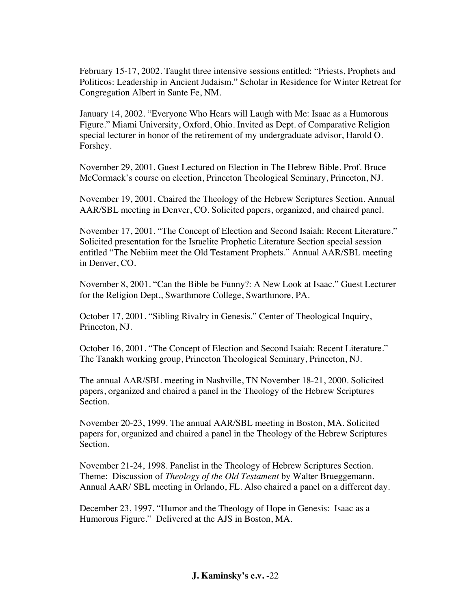February 15-17, 2002. Taught three intensive sessions entitled: "Priests, Prophets and Politicos: Leadership in Ancient Judaism." Scholar in Residence for Winter Retreat for Congregation Albert in Sante Fe, NM.

January 14, 2002. "Everyone Who Hears will Laugh with Me: Isaac as a Humorous Figure." Miami University, Oxford, Ohio. Invited as Dept. of Comparative Religion special lecturer in honor of the retirement of my undergraduate advisor, Harold O. Forshey.

November 29, 2001. Guest Lectured on Election in The Hebrew Bible. Prof. Bruce McCormack's course on election, Princeton Theological Seminary, Princeton, NJ.

November 19, 2001. Chaired the Theology of the Hebrew Scriptures Section. Annual AAR/SBL meeting in Denver, CO. Solicited papers, organized, and chaired panel.

November 17, 2001. "The Concept of Election and Second Isaiah: Recent Literature." Solicited presentation for the Israelite Prophetic Literature Section special session entitled "The Nebiim meet the Old Testament Prophets." Annual AAR/SBL meeting in Denver, CO.

November 8, 2001. "Can the Bible be Funny?: A New Look at Isaac." Guest Lecturer for the Religion Dept., Swarthmore College, Swarthmore, PA.

October 17, 2001. "Sibling Rivalry in Genesis." Center of Theological Inquiry, Princeton, NJ.

October 16, 2001. "The Concept of Election and Second Isaiah: Recent Literature." The Tanakh working group, Princeton Theological Seminary, Princeton, NJ.

The annual AAR/SBL meeting in Nashville, TN November 18-21, 2000. Solicited papers, organized and chaired a panel in the Theology of the Hebrew Scriptures Section.

November 20-23, 1999. The annual AAR/SBL meeting in Boston, MA. Solicited papers for, organized and chaired a panel in the Theology of the Hebrew Scriptures Section.

November 21-24, 1998. Panelist in the Theology of Hebrew Scriptures Section. Theme: Discussion of *Theology of the Old Testament* by Walter Brueggemann. Annual AAR/ SBL meeting in Orlando, FL. Also chaired a panel on a different day.

December 23, 1997. "Humor and the Theology of Hope in Genesis: Isaac as a Humorous Figure." Delivered at the AJS in Boston, MA.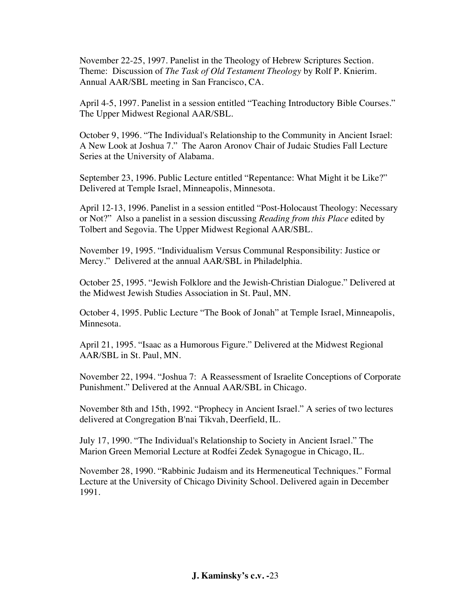November 22-25, 1997. Panelist in the Theology of Hebrew Scriptures Section. Theme: Discussion of *The Task of Old Testament Theology* by Rolf P. Knierim. Annual AAR/SBL meeting in San Francisco, CA.

April 4-5, 1997. Panelist in a session entitled "Teaching Introductory Bible Courses." The Upper Midwest Regional AAR/SBL.

October 9, 1996. "The Individual's Relationship to the Community in Ancient Israel: A New Look at Joshua 7." The Aaron Aronov Chair of Judaic Studies Fall Lecture Series at the University of Alabama.

September 23, 1996. Public Lecture entitled "Repentance: What Might it be Like?" Delivered at Temple Israel, Minneapolis, Minnesota.

April 12-13, 1996. Panelist in a session entitled "Post-Holocaust Theology: Necessary or Not?" Also a panelist in a session discussing *Reading from this Place* edited by Tolbert and Segovia. The Upper Midwest Regional AAR/SBL.

November 19, 1995. "Individualism Versus Communal Responsibility: Justice or Mercy." Delivered at the annual AAR/SBL in Philadelphia.

October 25, 1995. "Jewish Folklore and the Jewish-Christian Dialogue." Delivered at the Midwest Jewish Studies Association in St. Paul, MN.

October 4, 1995. Public Lecture "The Book of Jonah" at Temple Israel, Minneapolis, Minnesota.

April 21, 1995. "Isaac as a Humorous Figure." Delivered at the Midwest Regional AAR/SBL in St. Paul, MN.

November 22, 1994. "Joshua 7: A Reassessment of Israelite Conceptions of Corporate Punishment." Delivered at the Annual AAR/SBL in Chicago.

November 8th and 15th, 1992. "Prophecy in Ancient Israel." A series of two lectures delivered at Congregation B'nai Tikvah, Deerfield, IL.

July 17, 1990. "The Individual's Relationship to Society in Ancient Israel." The Marion Green Memorial Lecture at Rodfei Zedek Synagogue in Chicago, IL.

November 28, 1990. "Rabbinic Judaism and its Hermeneutical Techniques." Formal Lecture at the University of Chicago Divinity School. Delivered again in December 1991.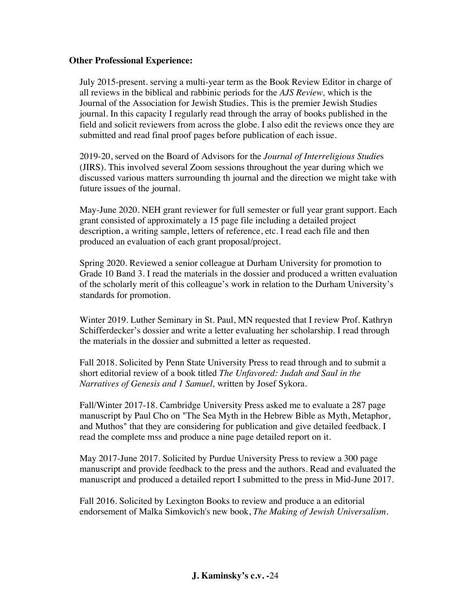## **Other Professional Experience:**

July 2015-present. serving a multi-year term as the Book Review Editor in charge of all reviews in the biblical and rabbinic periods for the *AJS Review,* which is the Journal of the Association for Jewish Studies. This is the premier Jewish Studies journal. In this capacity I regularly read through the array of books published in the field and solicit reviewers from across the globe. I also edit the reviews once they are submitted and read final proof pages before publication of each issue.

2019-20, served on the Board of Advisors for the *Journal of Interreligious Studie*s (JIRS). This involved several Zoom sessions throughout the year during which we discussed various matters surrounding th journal and the direction we might take with future issues of the journal.

May-June 2020. NEH grant reviewer for full semester or full year grant support. Each grant consisted of approximately a 15 page file including a detailed project description, a writing sample, letters of reference, etc. I read each file and then produced an evaluation of each grant proposal/project.

Spring 2020. Reviewed a senior colleague at Durham University for promotion to Grade 10 Band 3. I read the materials in the dossier and produced a written evaluation of the scholarly merit of this colleague's work in relation to the Durham University's standards for promotion.

Winter 2019. Luther Seminary in St. Paul, MN requested that I review Prof. Kathryn Schifferdecker's dossier and write a letter evaluating her scholarship. I read through the materials in the dossier and submitted a letter as requested.

Fall 2018. Solicited by Penn State University Press to read through and to submit a short editorial review of a book titled *The Unfavored: Judah and Saul in the Narratives of Genesis and 1 Samuel,* written by Josef Sykora.

Fall/Winter 2017-18. Cambridge University Press asked me to evaluate a 287 page manuscript by Paul Cho on "The Sea Myth in the Hebrew Bible as Myth, Metaphor, and Muthos" that they are considering for publication and give detailed feedback. I read the complete mss and produce a nine page detailed report on it.

May 2017-June 2017. Solicited by Purdue University Press to review a 300 page manuscript and provide feedback to the press and the authors. Read and evaluated the manuscript and produced a detailed report I submitted to the press in Mid-June 2017.

Fall 2016. Solicited by Lexington Books to review and produce a an editorial endorsement of Malka Simkovich's new book, *The Making of Jewish Universalism.*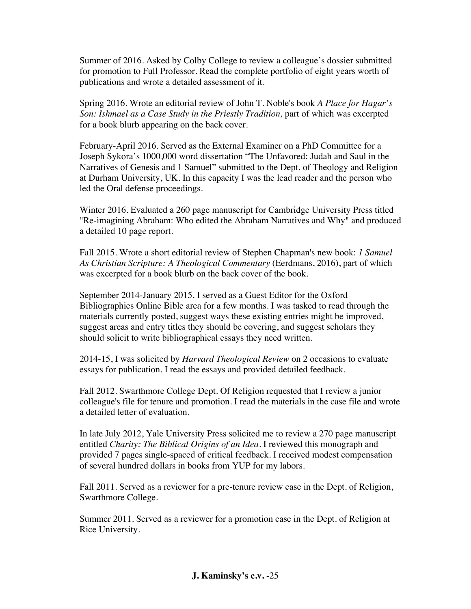Summer of 2016. Asked by Colby College to review a colleague's dossier submitted for promotion to Full Professor. Read the complete portfolio of eight years worth of publications and wrote a detailed assessment of it.

Spring 2016. Wrote an editorial review of John T. Noble's book *A Place for Hagar's Son: Ishmael as a Case Study in the Priestly Tradition,* part of which was excerpted for a book blurb appearing on the back cover.

February-April 2016. Served as the External Examiner on a PhD Committee for a Joseph Sykora's 1000,000 word dissertation "The Unfavored: Judah and Saul in the Narratives of Genesis and 1 Samuel" submitted to the Dept. of Theology and Religion at Durham University, UK. In this capacity I was the lead reader and the person who led the Oral defense proceedings.

Winter 2016. Evaluated a 260 page manuscript for Cambridge University Press titled "Re-imagining Abraham: Who edited the Abraham Narratives and Why" and produced a detailed 10 page report.

Fall 2015. Wrote a short editorial review of Stephen Chapman's new book: *1 Samuel As Christian Scripture: A Theological Commentary* (Eerdmans, 2016), part of which was excerpted for a book blurb on the back cover of the book.

September 2014-January 2015. I served as a Guest Editor for the Oxford Bibliographies Online Bible area for a few months. I was tasked to read through the materials currently posted, suggest ways these existing entries might be improved, suggest areas and entry titles they should be covering, and suggest scholars they should solicit to write bibliographical essays they need written.

2014-15, I was solicited by *Harvard Theological Review* on 2 occasions to evaluate essays for publication. I read the essays and provided detailed feedback.

Fall 2012. Swarthmore College Dept. Of Religion requested that I review a junior colleague's file for tenure and promotion. I read the materials in the case file and wrote a detailed letter of evaluation.

In late July 2012, Yale University Press solicited me to review a 270 page manuscript entitled *Charity: The Biblical Origins of an Idea*. I reviewed this monograph and provided 7 pages single-spaced of critical feedback. I received modest compensation of several hundred dollars in books from YUP for my labors.

Fall 2011. Served as a reviewer for a pre-tenure review case in the Dept. of Religion, Swarthmore College.

Summer 2011. Served as a reviewer for a promotion case in the Dept. of Religion at Rice University.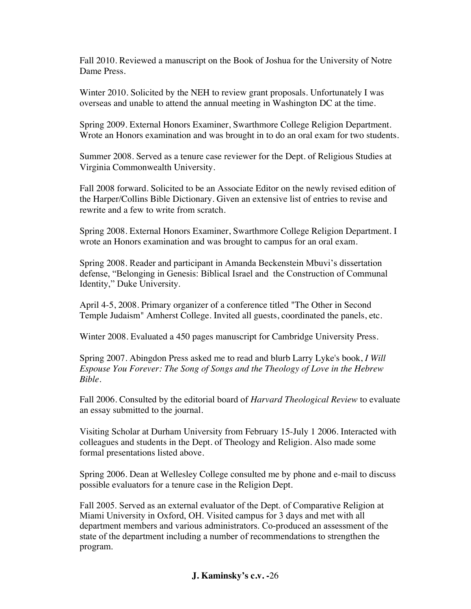Fall 2010. Reviewed a manuscript on the Book of Joshua for the University of Notre Dame Press.

Winter 2010. Solicited by the NEH to review grant proposals. Unfortunately I was overseas and unable to attend the annual meeting in Washington DC at the time.

Spring 2009. External Honors Examiner, Swarthmore College Religion Department. Wrote an Honors examination and was brought in to do an oral exam for two students.

Summer 2008. Served as a tenure case reviewer for the Dept. of Religious Studies at Virginia Commonwealth University.

Fall 2008 forward. Solicited to be an Associate Editor on the newly revised edition of the Harper/Collins Bible Dictionary. Given an extensive list of entries to revise and rewrite and a few to write from scratch.

Spring 2008. External Honors Examiner, Swarthmore College Religion Department. I wrote an Honors examination and was brought to campus for an oral exam.

Spring 2008. Reader and participant in Amanda Beckenstein Mbuvi's dissertation defense, "Belonging in Genesis: Biblical Israel and the Construction of Communal Identity," Duke University.

April 4-5, 2008. Primary organizer of a conference titled "The Other in Second Temple Judaism" Amherst College. Invited all guests, coordinated the panels, etc.

Winter 2008. Evaluated a 450 pages manuscript for Cambridge University Press.

Spring 2007. Abingdon Press asked me to read and blurb Larry Lyke's book, *I Will Espouse You Forever: The Song of Songs and the Theology of Love in the Hebrew Bible*.

Fall 2006. Consulted by the editorial board of *Harvard Theological Review* to evaluate an essay submitted to the journal.

Visiting Scholar at Durham University from February 15-July 1 2006. Interacted with colleagues and students in the Dept. of Theology and Religion. Also made some formal presentations listed above.

Spring 2006. Dean at Wellesley College consulted me by phone and e-mail to discuss possible evaluators for a tenure case in the Religion Dept.

Fall 2005. Served as an external evaluator of the Dept. of Comparative Religion at Miami University in Oxford, OH. Visited campus for 3 days and met with all department members and various administrators. Co-produced an assessment of the state of the department including a number of recommendations to strengthen the program.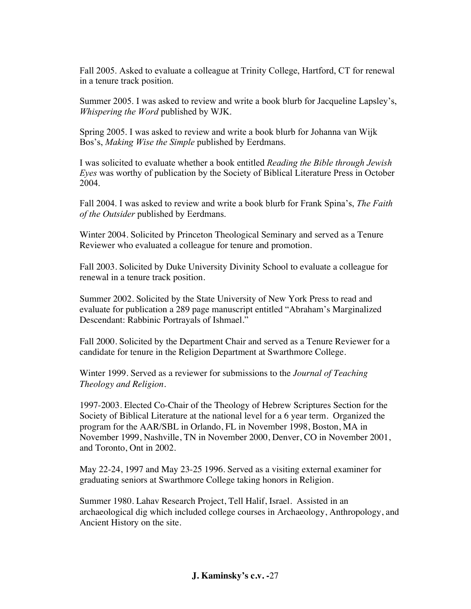Fall 2005. Asked to evaluate a colleague at Trinity College, Hartford, CT for renewal in a tenure track position.

Summer 2005. I was asked to review and write a book blurb for Jacqueline Lapsley's, *Whispering the Word* published by WJK.

Spring 2005. I was asked to review and write a book blurb for Johanna van Wijk Bos's, *Making Wise the Simple* published by Eerdmans.

I was solicited to evaluate whether a book entitled *Reading the Bible through Jewish Eyes* was worthy of publication by the Society of Biblical Literature Press in October 2004.

Fall 2004. I was asked to review and write a book blurb for Frank Spina's, *The Faith of the Outsider* published by Eerdmans.

Winter 2004. Solicited by Princeton Theological Seminary and served as a Tenure Reviewer who evaluated a colleague for tenure and promotion.

Fall 2003. Solicited by Duke University Divinity School to evaluate a colleague for renewal in a tenure track position.

Summer 2002. Solicited by the State University of New York Press to read and evaluate for publication a 289 page manuscript entitled "Abraham's Marginalized Descendant: Rabbinic Portrayals of Ishmael."

Fall 2000. Solicited by the Department Chair and served as a Tenure Reviewer for a candidate for tenure in the Religion Department at Swarthmore College.

Winter 1999. Served as a reviewer for submissions to the *Journal of Teaching Theology and Religion.*

1997-2003. Elected Co-Chair of the Theology of Hebrew Scriptures Section for the Society of Biblical Literature at the national level for a 6 year term. Organized the program for the AAR/SBL in Orlando, FL in November 1998, Boston, MA in November 1999, Nashville, TN in November 2000, Denver, CO in November 2001, and Toronto, Ont in 2002.

May 22-24, 1997 and May 23-25 1996. Served as a visiting external examiner for graduating seniors at Swarthmore College taking honors in Religion.

Summer 1980. Lahav Research Project, Tell Halif, Israel. Assisted in an archaeological dig which included college courses in Archaeology, Anthropology, and Ancient History on the site.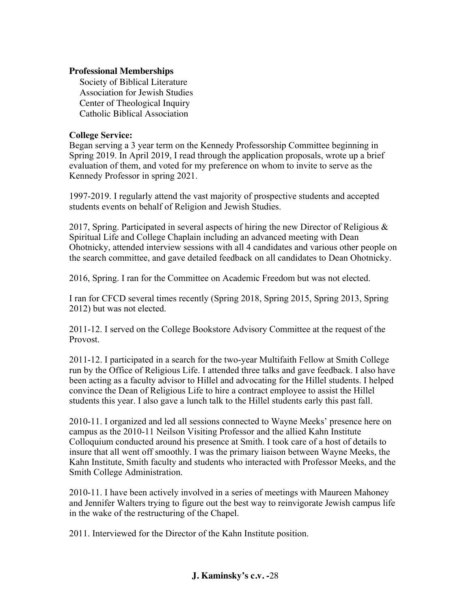## **Professional Memberships**

Society of Biblical Literature Association for Jewish Studies Center of Theological Inquiry Catholic Biblical Association

## **College Service:**

Began serving a 3 year term on the Kennedy Professorship Committee beginning in Spring 2019. In April 2019, I read through the application proposals, wrote up a brief evaluation of them, and voted for my preference on whom to invite to serve as the Kennedy Professor in spring 2021.

1997-2019. I regularly attend the vast majority of prospective students and accepted students events on behalf of Religion and Jewish Studies.

2017, Spring. Participated in several aspects of hiring the new Director of Religious  $\&$ Spiritual Life and College Chaplain including an advanced meeting with Dean Ohotnicky, attended interview sessions with all 4 candidates and various other people on the search committee, and gave detailed feedback on all candidates to Dean Ohotnicky.

2016, Spring. I ran for the Committee on Academic Freedom but was not elected.

I ran for CFCD several times recently (Spring 2018, Spring 2015, Spring 2013, Spring 2012) but was not elected.

2011-12. I served on the College Bookstore Advisory Committee at the request of the Provost.

2011-12. I participated in a search for the two-year Multifaith Fellow at Smith College run by the Office of Religious Life. I attended three talks and gave feedback. I also have been acting as a faculty advisor to Hillel and advocating for the Hillel students. I helped convince the Dean of Religious Life to hire a contract employee to assist the Hillel students this year. I also gave a lunch talk to the Hillel students early this past fall.

2010-11. I organized and led all sessions connected to Wayne Meeks' presence here on campus as the 2010-11 Neilson Visiting Professor and the allied Kahn Institute Colloquium conducted around his presence at Smith. I took care of a host of details to insure that all went off smoothly. I was the primary liaison between Wayne Meeks, the Kahn Institute, Smith faculty and students who interacted with Professor Meeks, and the Smith College Administration.

2010-11. I have been actively involved in a series of meetings with Maureen Mahoney and Jennifer Walters trying to figure out the best way to reinvigorate Jewish campus life in the wake of the restructuring of the Chapel.

2011. Interviewed for the Director of the Kahn Institute position.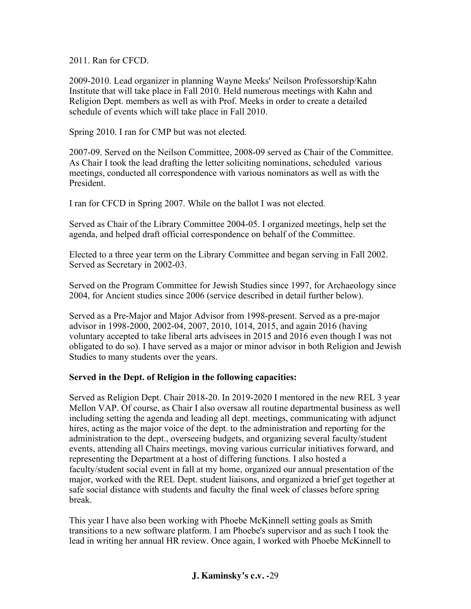2011. Ran for CFCD.

2009-2010. Lead organizer in planning Wayne Meeks' Neilson Professorship/Kahn Institute that will take place in Fall 2010. Held numerous meetings with Kahn and Religion Dept. members as well as with Prof. Meeks in order to create a detailed schedule of events which will take place in Fall 2010.

Spring 2010. I ran for CMP but was not elected.

2007-09. Served on the Neilson Committee, 2008-09 served as Chair of the Committee. As Chair I took the lead drafting the letter soliciting nominations, scheduled various meetings, conducted all correspondence with various nominators as well as with the President.

I ran for CFCD in Spring 2007. While on the ballot I was not elected.

Served as Chair of the Library Committee 2004-05. I organized meetings, help set the agenda, and helped draft official correspondence on behalf of the Committee.

Elected to a three year term on the Library Committee and began serving in Fall 2002. Served as Secretary in 2002-03.

Served on the Program Committee for Jewish Studies since 1997, for Archaeology since 2004, for Ancient studies since 2006 (service described in detail further below).

Served as a Pre-Major and Major Advisor from 1998-present. Served as a pre-major advisor in 1998-2000, 2002-04, 2007, 2010, 1014, 2015, and again 2016 (having voluntary accepted to take liberal arts advisees in 2015 and 2016 even though I was not obligated to do so). I have served as a major or minor advisor in both Religion and Jewish Studies to many students over the years.

## **Served in the Dept. of Religion in the following capacities:**

Served as Religion Dept. Chair 2018-20. In 2019-2020 I mentored in the new REL 3 year Mellon VAP. Of course, as Chair I also oversaw all routine departmental business as well including setting the agenda and leading all dept. meetings, communicating with adjunct hires, acting as the major voice of the dept. to the administration and reporting for the administration to the dept., overseeing budgets, and organizing several faculty/student events, attending all Chairs meetings, moving various curricular initiatives forward, and representing the Department at a host of differing functions. I also hosted a faculty/student social event in fall at my home, organized our annual presentation of the major, worked with the REL Dept. student liaisons, and organized a brief get together at safe social distance with students and faculty the final week of classes before spring break.

This year I have also been working with Phoebe McKinnell setting goals as Smith transitions to a new software platform. I am Phoebe's supervisor and as such I took the lead in writing her annual HR review. Once again, I worked with Phoebe McKinnell to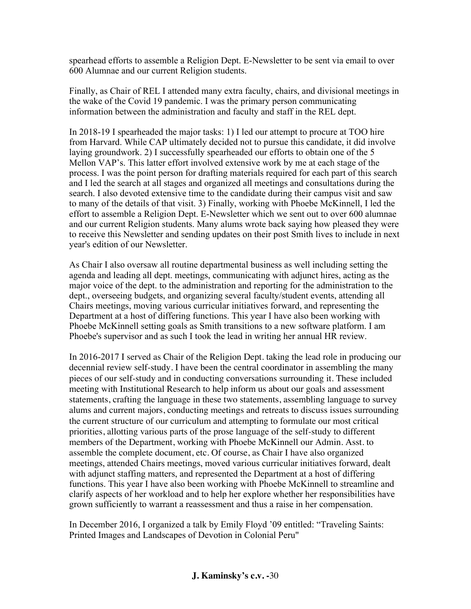spearhead efforts to assemble a Religion Dept. E-Newsletter to be sent via email to over 600 Alumnae and our current Religion students.

Finally, as Chair of REL I attended many extra faculty, chairs, and divisional meetings in the wake of the Covid 19 pandemic. I was the primary person communicating information between the administration and faculty and staff in the REL dept.

In 2018-19 I spearheaded the major tasks: 1) I led our attempt to procure at TOO hire from Harvard. While CAP ultimately decided not to pursue this candidate, it did involve laying groundwork. 2) I successfully spearheaded our efforts to obtain one of the 5 Mellon VAP's. This latter effort involved extensive work by me at each stage of the process. I was the point person for drafting materials required for each part of this search and I led the search at all stages and organized all meetings and consultations during the search. I also devoted extensive time to the candidate during their campus visit and saw to many of the details of that visit. 3) Finally, working with Phoebe McKinnell, I led the effort to assemble a Religion Dept. E-Newsletter which we sent out to over 600 alumnae and our current Religion students. Many alums wrote back saying how pleased they were to receive this Newsletter and sending updates on their post Smith lives to include in next year's edition of our Newsletter.

As Chair I also oversaw all routine departmental business as well including setting the agenda and leading all dept. meetings, communicating with adjunct hires, acting as the major voice of the dept. to the administration and reporting for the administration to the dept., overseeing budgets, and organizing several faculty/student events, attending all Chairs meetings, moving various curricular initiatives forward, and representing the Department at a host of differing functions. This year I have also been working with Phoebe McKinnell setting goals as Smith transitions to a new software platform. I am Phoebe's supervisor and as such I took the lead in writing her annual HR review.

In 2016-2017 I served as Chair of the Religion Dept. taking the lead role in producing our decennial review self-study. I have been the central coordinator in assembling the many pieces of our self-study and in conducting conversations surrounding it. These included meeting with Institutional Research to help inform us about our goals and assessment statements, crafting the language in these two statements, assembling language to survey alums and current majors, conducting meetings and retreats to discuss issues surrounding the current structure of our curriculum and attempting to formulate our most critical priorities, allotting various parts of the prose language of the self-study to different members of the Department, working with Phoebe McKinnell our Admin. Asst. to assemble the complete document, etc. Of course, as Chair I have also organized meetings, attended Chairs meetings, moved various curricular initiatives forward, dealt with adjunct staffing matters, and represented the Department at a host of differing functions. This year I have also been working with Phoebe McKinnell to streamline and clarify aspects of her workload and to help her explore whether her responsibilities have grown sufficiently to warrant a reassessment and thus a raise in her compensation.

In December 2016, I organized a talk by Emily Floyd '09 entitled: "Traveling Saints: Printed Images and Landscapes of Devotion in Colonial Peru"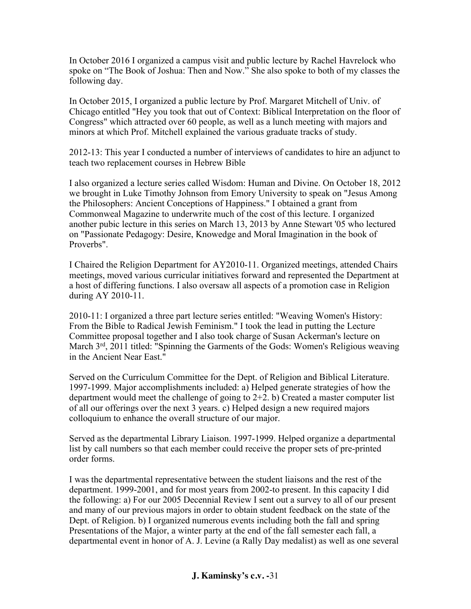In October 2016 I organized a campus visit and public lecture by Rachel Havrelock who spoke on "The Book of Joshua: Then and Now." She also spoke to both of my classes the following day.

In October 2015, I organized a public lecture by Prof. Margaret Mitchell of Univ. of Chicago entitled "Hey you took that out of Context: Biblical Interpretation on the floor of Congress" which attracted over 60 people, as well as a lunch meeting with majors and minors at which Prof. Mitchell explained the various graduate tracks of study.

2012-13: This year I conducted a number of interviews of candidates to hire an adjunct to teach two replacement courses in Hebrew Bible

I also organized a lecture series called Wisdom: Human and Divine. On October 18, 2012 we brought in Luke Timothy Johnson from Emory University to speak on "Jesus Among the Philosophers: Ancient Conceptions of Happiness." I obtained a grant from Commonweal Magazine to underwrite much of the cost of this lecture. I organized another pubic lecture in this series on March 13, 2013 by Anne Stewart '05 who lectured on "Passionate Pedagogy: Desire, Knowedge and Moral Imagination in the book of Proverbs".

I Chaired the Religion Department for AY2010-11. Organized meetings, attended Chairs meetings, moved various curricular initiatives forward and represented the Department at a host of differing functions. I also oversaw all aspects of a promotion case in Religion during AY 2010-11.

2010-11: I organized a three part lecture series entitled: "Weaving Women's History: From the Bible to Radical Jewish Feminism." I took the lead in putting the Lecture Committee proposal together and I also took charge of Susan Ackerman's lecture on March  $3<sup>rd</sup>$ , 2011 titled: "Spinning the Garments of the Gods: Women's Religious weaving in the Ancient Near East."

Served on the Curriculum Committee for the Dept. of Religion and Biblical Literature. 1997-1999. Major accomplishments included: a) Helped generate strategies of how the department would meet the challenge of going to  $2+2$ . b) Created a master computer list of all our offerings over the next 3 years. c) Helped design a new required majors colloquium to enhance the overall structure of our major.

Served as the departmental Library Liaison. 1997-1999. Helped organize a departmental list by call numbers so that each member could receive the proper sets of pre-printed order forms.

I was the departmental representative between the student liaisons and the rest of the department. 1999-2001, and for most years from 2002-to present. In this capacity I did the following: a) For our 2005 Decennial Review I sent out a survey to all of our present and many of our previous majors in order to obtain student feedback on the state of the Dept. of Religion. b) I organized numerous events including both the fall and spring Presentations of the Major, a winter party at the end of the fall semester each fall, a departmental event in honor of A. J. Levine (a Rally Day medalist) as well as one several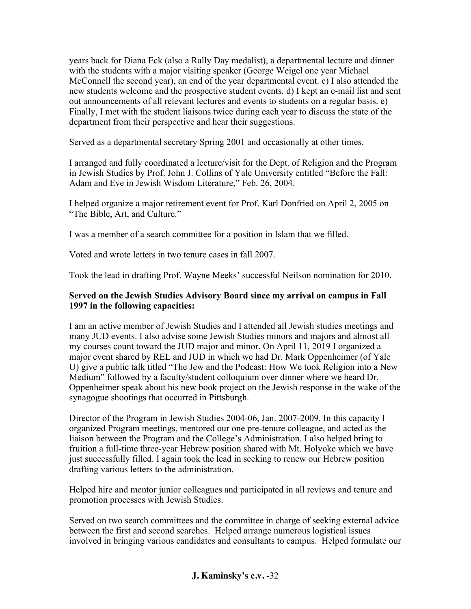years back for Diana Eck (also a Rally Day medalist), a departmental lecture and dinner with the students with a major visiting speaker (George Weigel one year Michael McConnell the second year), an end of the year departmental event. c) I also attended the new students welcome and the prospective student events. d) I kept an e-mail list and sent out announcements of all relevant lectures and events to students on a regular basis. e) Finally, I met with the student liaisons twice during each year to discuss the state of the department from their perspective and hear their suggestions.

Served as a departmental secretary Spring 2001 and occasionally at other times.

I arranged and fully coordinated a lecture/visit for the Dept. of Religion and the Program in Jewish Studies by Prof. John J. Collins of Yale University entitled "Before the Fall: Adam and Eve in Jewish Wisdom Literature," Feb. 26, 2004.

I helped organize a major retirement event for Prof. Karl Donfried on April 2, 2005 on "The Bible, Art, and Culture."

I was a member of a search committee for a position in Islam that we filled.

Voted and wrote letters in two tenure cases in fall 2007.

Took the lead in drafting Prof. Wayne Meeks' successful Neilson nomination for 2010.

## **Served on the Jewish Studies Advisory Board since my arrival on campus in Fall 1997 in the following capacities:**

I am an active member of Jewish Studies and I attended all Jewish studies meetings and many JUD events. I also advise some Jewish Studies minors and majors and almost all my courses count toward the JUD major and minor. On April 11, 2019 I organized a major event shared by REL and JUD in which we had Dr. Mark Oppenheimer (of Yale U) give a public talk titled "The Jew and the Podcast: How We took Religion into a New Medium" followed by a faculty/student colloquium over dinner where we heard Dr. Oppenheimer speak about his new book project on the Jewish response in the wake of the synagogue shootings that occurred in Pittsburgh.

Director of the Program in Jewish Studies 2004-06, Jan. 2007-2009. In this capacity I organized Program meetings, mentored our one pre-tenure colleague, and acted as the liaison between the Program and the College's Administration. I also helped bring to fruition a full-time three-year Hebrew position shared with Mt. Holyoke which we have just successfully filled. I again took the lead in seeking to renew our Hebrew position drafting various letters to the administration.

Helped hire and mentor junior colleagues and participated in all reviews and tenure and promotion processes with Jewish Studies.

Served on two search committees and the committee in charge of seeking external advice between the first and second searches. Helped arrange numerous logistical issues involved in bringing various candidates and consultants to campus. Helped formulate our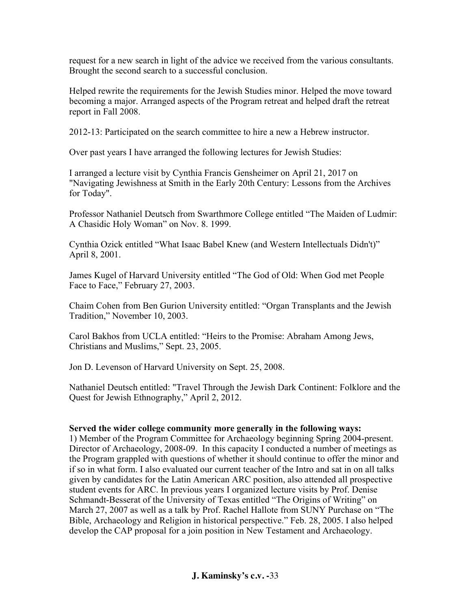request for a new search in light of the advice we received from the various consultants. Brought the second search to a successful conclusion.

Helped rewrite the requirements for the Jewish Studies minor. Helped the move toward becoming a major. Arranged aspects of the Program retreat and helped draft the retreat report in Fall 2008.

2012-13: Participated on the search committee to hire a new a Hebrew instructor.

Over past years I have arranged the following lectures for Jewish Studies:

I arranged a lecture visit by Cynthia Francis Gensheimer on April 21, 2017 on "Navigating Jewishness at Smith in the Early 20th Century: Lessons from the Archives for Today".

Professor Nathaniel Deutsch from Swarthmore College entitled "The Maiden of Ludmir: A Chasidic Holy Woman" on Nov. 8. 1999.

Cynthia Ozick entitled "What Isaac Babel Knew (and Western Intellectuals Didn't)" April 8, 2001.

James Kugel of Harvard University entitled "The God of Old: When God met People Face to Face," February 27, 2003.

Chaim Cohen from Ben Gurion University entitled: "Organ Transplants and the Jewish Tradition," November 10, 2003.

Carol Bakhos from UCLA entitled: "Heirs to the Promise: Abraham Among Jews, Christians and Muslims," Sept. 23, 2005.

Jon D. Levenson of Harvard University on Sept. 25, 2008.

Nathaniel Deutsch entitled: "Travel Through the Jewish Dark Continent: Folklore and the Quest for Jewish Ethnography," April 2, 2012.

## **Served the wider college community more generally in the following ways:**

1) Member of the Program Committee for Archaeology beginning Spring 2004-present. Director of Archaeology, 2008-09. In this capacity I conducted a number of meetings as the Program grappled with questions of whether it should continue to offer the minor and if so in what form. I also evaluated our current teacher of the Intro and sat in on all talks given by candidates for the Latin American ARC position, also attended all prospective student events for ARC. In previous years I organized lecture visits by Prof. Denise Schmandt-Besserat of the University of Texas entitled "The Origins of Writing" on March 27, 2007 as well as a talk by Prof. Rachel Hallote from SUNY Purchase on "The Bible, Archaeology and Religion in historical perspective." Feb. 28, 2005. I also helped develop the CAP proposal for a join position in New Testament and Archaeology.